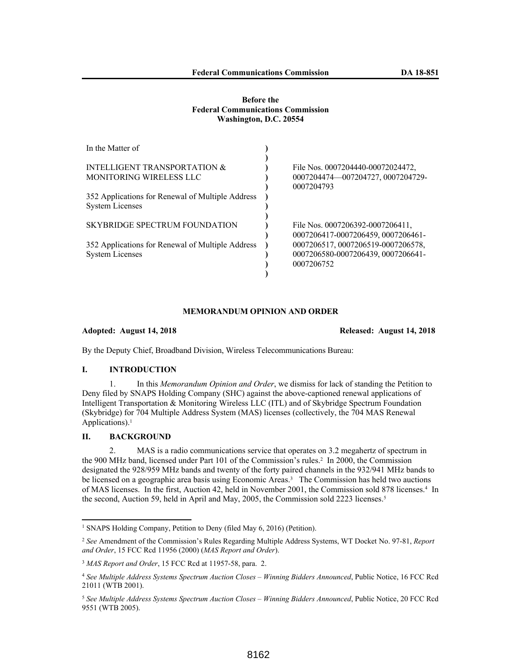### **Before the Federal Communications Commission Washington, D.C. 20554**

| In the Matter of                                                           |                                                                                        |
|----------------------------------------------------------------------------|----------------------------------------------------------------------------------------|
| INTELLIGENT TRANSPORTATION &<br><b>MONITORING WIRELESS LLC</b>             | File Nos. 0007204440-00072024472.<br>0007204474-007204727, 0007204729-<br>0007204793   |
| 352 Applications for Renewal of Multiple Address<br><b>System Licenses</b> |                                                                                        |
| SKYBRIDGE SPECTRUM FOUNDATION                                              | File Nos. 0007206392-0007206411,<br>0007206417-0007206459, 0007206461-                 |
| 352 Applications for Renewal of Multiple Address<br><b>System Licenses</b> | 0007206517, 0007206519-0007206578,<br>0007206580-0007206439, 0007206641-<br>0007206752 |

## **MEMORANDUM OPINION AND ORDER**

**Adopted: August 14, 2018 Released: August 14, 2018**

By the Deputy Chief, Broadband Division, Wireless Telecommunications Bureau:

# **I. INTRODUCTION**

1. In this *Memorandum Opinion and Order*, we dismiss for lack of standing the Petition to Deny filed by SNAPS Holding Company (SHC) against the above-captioned renewal applications of Intelligent Transportation & Monitoring Wireless LLC (ITL) and of Skybridge Spectrum Foundation (Skybridge) for 704 Multiple Address System (MAS) licenses (collectively, the 704 MAS Renewal Applications).<sup>1</sup>

## **II. BACKGROUND**

2. MAS is a radio communications service that operates on 3.2 megahertz of spectrum in the 900 MHz band, licensed under Part 101 of the Commission's rules.<sup>2</sup> In 2000, the Commission designated the 928/959 MHz bands and twenty of the forty paired channels in the 932/941 MHz bands to be licensed on a geographic area basis using Economic Areas.<sup>3</sup> The Commission has held two auctions of MAS licenses. In the first, Auction 42, held in November 2001, the Commission sold 878 licenses.<sup>4</sup> In the second, Auction 59, held in April and May, 2005, the Commission sold 2223 licenses.<sup>5</sup>

<sup>1</sup> SNAPS Holding Company, Petition to Deny (filed May 6, 2016) (Petition).

<sup>2</sup> *See* Amendment of the Commission's Rules Regarding Multiple Address Systems, WT Docket No. 97-81, *Report and Order*, 15 FCC Rcd 11956 (2000) (*MAS Report and Order*).

<sup>3</sup> *MAS Report and Order*, 15 FCC Rcd at 11957-58, para. 2.

<sup>4</sup> *See Multiple Address Systems Spectrum Auction Closes – Winning Bidders Announced*, Public Notice, 16 FCC Rcd 21011 (WTB 2001).

<sup>5</sup> *See Multiple Address Systems Spectrum Auction Closes – Winning Bidders Announced*, Public Notice, 20 FCC Rcd 9551 (WTB 2005).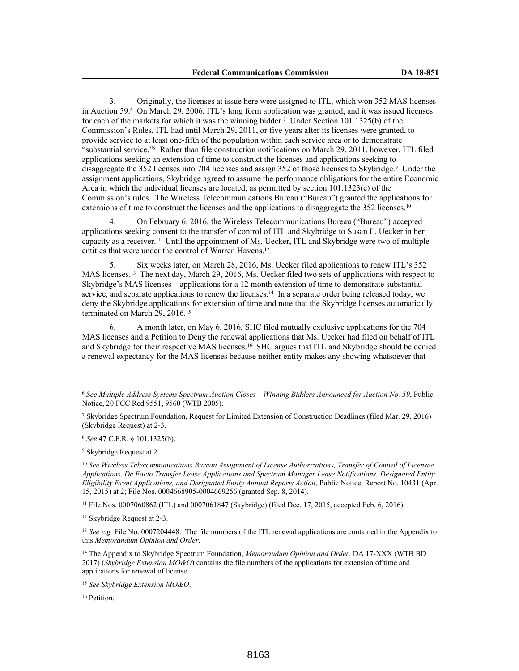3. Originally, the licenses at issue here were assigned to ITL, which won 352 MAS licenses in Auction 59.<sup>6</sup> On March 29, 2006, ITL's long form application was granted, and it was issued licenses for each of the markets for which it was the winning bidder.<sup>7</sup> Under Section 101.1325(b) of the Commission's Rules, ITL had until March 29, 2011, or five years after its licenses were granted, to provide service to at least one-fifth of the population within each service area or to demonstrate "substantial service."<sup>8</sup> Rather than file construction notifications on March 29, 2011, however, ITL filed applications seeking an extension of time to construct the licenses and applications seeking to disaggregate the 352 licenses into 704 licenses and assign 352 of those licenses to Skybridge.<sup>9</sup> Under the assignment applications, Skybridge agreed to assume the performance obligations for the entire Economic Area in which the individual licenses are located, as permitted by section  $101.1323(c)$  of the Commission's rules. The Wireless Telecommunications Bureau ("Bureau") granted the applications for extensions of time to construct the licenses and the applications to disaggregate the 352 licenses.<sup>10</sup>

4. On February 6, 2016, the Wireless Telecommunications Bureau ("Bureau") accepted applications seeking consent to the transfer of control of ITL and Skybridge to Susan L. Uecker in her capacity as a receiver.<sup>11</sup> Until the appointment of Ms. Uecker, ITL and Skybridge were two of multiple entities that were under the control of Warren Havens.<sup>12</sup>

Six weeks later, on March 28, 2016, Ms. Uecker filed applications to renew ITL's 352 MAS licenses.<sup>13</sup> The next day, March 29, 2016, Ms. Uecker filed two sets of applications with respect to Skybridge's MAS licenses – applications for a 12 month extension of time to demonstrate substantial service, and separate applications to renew the licenses.<sup>14</sup> In a separate order being released today, we deny the Skybridge applications for extension of time and note that the Skybridge licenses automatically terminated on March 29, 2016.<sup>15</sup>

6. A month later, on May 6, 2016, SHC filed mutually exclusive applications for the 704 MAS licenses and a Petition to Deny the renewal applications that Ms. Uecker had filed on behalf of ITL and Skybridge for their respective MAS licenses.<sup>16</sup> SHC argues that ITL and Skybridge should be denied a renewal expectancy for the MAS licenses because neither entity makes any showing whatsoever that

<sup>9</sup> Skybridge Request at 2.

<sup>10</sup> *See Wireless Telecommunications Bureau Assignment of License Authorizations, Transfer of Control of Licensee Applications, De Facto Transfer Lease Applications and Spectrum Manager Lease Notifications, Designated Entity Eligibility Event Applications, and Designated Entity Annual Reports Action*, Public Notice, Report No. 10431 (Apr. 15, 2015) at 2; File Nos. 0004668905-0004669256 (granted Sep. 8, 2014).

<sup>11</sup> File Nos. 0007060862 (ITL) and 0007061847 (Skybridge) (filed Dec. 17, 2015, accepted Feb. 6, 2016).

<sup>12</sup> Skybridge Request at 2-3.

<sup>13</sup> *See e.g.* File No. 0007204448. The file numbers of the ITL renewal applications are contained in the Appendix to this *Memorandum Opinion and Order*.

<sup>14</sup> The Appendix to Skybridge Spectrum Foundation, *Memorandum Opinion and Order,* DA 17-XXX (WTB BD 2017) (*Skybridge Extension MO&O*) contains the file numbers of the applications for extension of time and applications for renewal of license.

<sup>15</sup> *See Skybridge Extension MO&O*.

<sup>16</sup> Petition.

<sup>6</sup> *See Multiple Address Systems Spectrum Auction Closes – Winning Bidders Announced for Auction No. 59*, Public Notice, 20 FCC Rcd 9551, 9560 (WTB 2005).

<sup>7</sup> Skybridge Spectrum Foundation, Request for Limited Extension of Construction Deadlines (filed Mar. 29, 2016) (Skybridge Request) at 2-3.

<sup>8</sup> *See* 47 C.F.R. § 101.1325(b).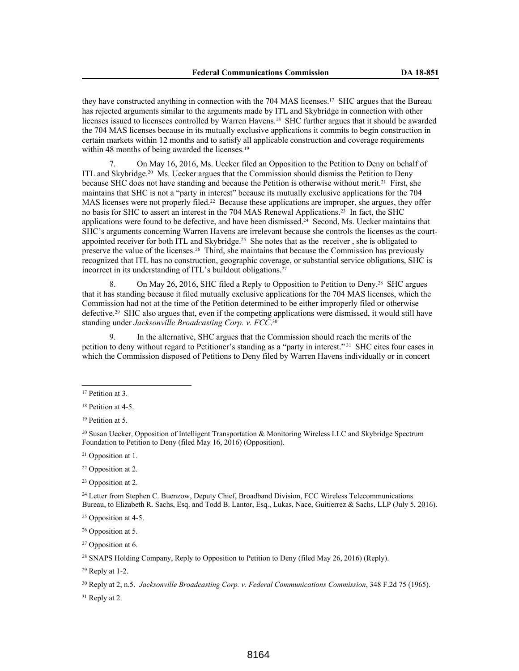they have constructed anything in connection with the 704 MAS licenses.<sup>17</sup> SHC argues that the Bureau has rejected arguments similar to the arguments made by ITL and Skybridge in connection with other licenses issued to licensees controlled by Warren Havens.<sup>18</sup> SHC further argues that it should be awarded the 704 MAS licenses because in its mutually exclusive applications it commits to begin construction in certain markets within 12 months and to satisfy all applicable construction and coverage requirements within 48 months of being awarded the licenses.<sup>19</sup>

7. On May 16, 2016, Ms. Uecker filed an Opposition to the Petition to Deny on behalf of ITL and Skybridge.<sup>20</sup> Ms. Uecker argues that the Commission should dismiss the Petition to Deny because SHC does not have standing and because the Petition is otherwise without merit.<sup>21</sup> First, she maintains that SHC is not a "party in interest" because its mutually exclusive applications for the 704 MAS licenses were not properly filed.<sup>22</sup> Because these applications are improper, she argues, they offer no basis for SHC to assert an interest in the 704 MAS Renewal Applications.<sup>23</sup> In fact, the SHC applications were found to be defective, and have been dismissed.<sup>24</sup> Second, Ms. Uecker maintains that SHC's arguments concerning Warren Havens are irrelevant because she controls the licenses as the courtappointed receiver for both ITL and Skybridge.<sup>25</sup> She notes that as the receiver, she is obligated to preserve the value of the licenses.<sup>26</sup> Third, she maintains that because the Commission has previously recognized that ITL has no construction, geographic coverage, or substantial service obligations, SHC is incorrect in its understanding of ITL's buildout obligations.<sup>27</sup>

8. On May 26, 2016, SHC filed a Reply to Opposition to Petition to Deny.<sup>28</sup> SHC argues that it has standing because it filed mutually exclusive applications for the 704 MAS licenses, which the Commission had not at the time of the Petition determined to be either improperly filed or otherwise defective.<sup>29</sup> SHC also argues that, even if the competing applications were dismissed, it would still have standing under *Jacksonville Broadcasting Corp. v. FCC*. 30

In the alternative, SHC argues that the Commission should reach the merits of the petition to deny without regard to Petitioner's standing as a "party in interest."<sup>31</sup> SHC cites four cases in which the Commission disposed of Petitions to Deny filed by Warren Havens individually or in concert

<sup>24</sup> Letter from Stephen C. Buenzow, Deputy Chief, Broadband Division, FCC Wireless Telecommunications Bureau, to Elizabeth R. Sachs, Esq. and Todd B. Lantor, Esq., Lukas, Nace, Guitierrez & Sachs, LLP (July 5, 2016).

<sup>25</sup> Opposition at 4-5.

<sup>26</sup> Opposition at 5.

<sup>27</sup> Opposition at 6.

<sup>31</sup> Reply at 2.

<sup>&</sup>lt;sup>17</sup> Petition at 3.

<sup>18</sup> Petition at 4-5.

<sup>&</sup>lt;sup>19</sup> Petition at 5.

<sup>20</sup> Susan Uecker, Opposition of Intelligent Transportation & Monitoring Wireless LLC and Skybridge Spectrum Foundation to Petition to Deny (filed May 16, 2016) (Opposition).

<sup>21</sup> Opposition at 1.

<sup>22</sup> Opposition at 2.

<sup>23</sup> Opposition at 2.

<sup>28</sup> SNAPS Holding Company, Reply to Opposition to Petition to Deny (filed May 26, 2016) (Reply).

 $29$  Reply at 1-2.

<sup>30</sup> Reply at 2, n.5. *Jacksonville Broadcasting Corp. v. Federal Communications Commission*, 348 F.2d 75 (1965).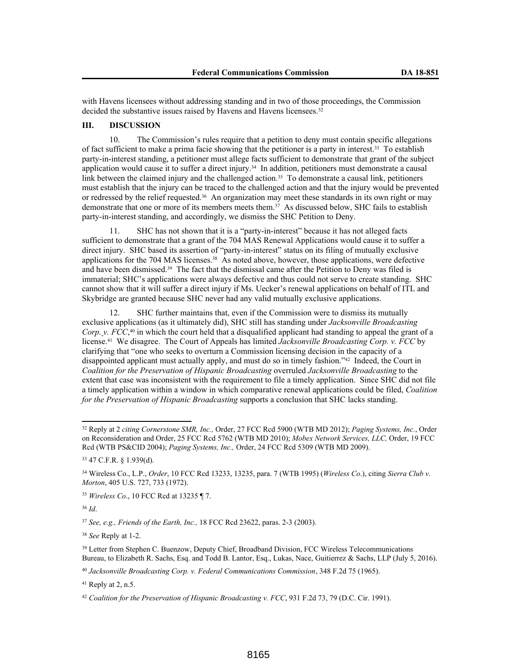with Havens licensees without addressing standing and in two of those proceedings, the Commission decided the substantive issues raised by Havens and Havens licensees.<sup>32</sup>

# **III. DISCUSSION**

10. The Commission's rules require that a petition to deny must contain specific allegations of fact sufficient to make a prima facie showing that the petitioner is a party in interest.<sup>33</sup> To establish party-in-interest standing, a petitioner must allege facts sufficient to demonstrate that grant of the subject application would cause it to suffer a direct injury.<sup>34</sup> In addition, petitioners must demonstrate a causal link between the claimed injury and the challenged action.<sup>35</sup> To demonstrate a causal link, petitioners must establish that the injury can be traced to the challenged action and that the injury would be prevented or redressed by the relief requested.<sup>36</sup> An organization may meet these standards in its own right or may demonstrate that one or more of its members meets them.<sup>37</sup> As discussed below, SHC fails to establish party-in-interest standing, and accordingly, we dismiss the SHC Petition to Deny.

11. SHC has not shown that it is a "party-in-interest" because it has not alleged facts sufficient to demonstrate that a grant of the 704 MAS Renewal Applications would cause it to suffer a direct injury. SHC based its assertion of "party-in-interest" status on its filing of mutually exclusive applications for the 704 MAS licenses.<sup>38</sup> As noted above, however, those applications, were defective and have been dismissed.<sup>39</sup> The fact that the dismissal came after the Petition to Deny was filed is immaterial; SHC's applications were always defective and thus could not serve to create standing. SHC cannot show that it will suffer a direct injury if Ms. Uecker's renewal applications on behalf of ITL and Skybridge are granted because SHC never had any valid mutually exclusive applications.

12. SHC further maintains that, even if the Commission were to dismiss its mutually exclusive applications (as it ultimately did), SHC still has standing under *Jacksonville Broadcasting Corp. v. FCC*, <sup>40</sup> in which the court held that a disqualified applicant had standing to appeal the grant of a license.<sup>41</sup> We disagree. The Court of Appeals has limited *Jacksonville Broadcasting Corp. v. FCC* by clarifying that "one who seeks to overturn a Commission licensing decision in the capacity of a disappointed applicant must actually apply, and must do so in timely fashion."<sup>42</sup> Indeed, the Court in *Coalition for the Preservation of Hispanic Broadcasting* overruled *Jacksonville Broadcasting* to the extent that case was inconsistent with the requirement to file a timely application. Since SHC did not file a timely application within a window in which comparative renewal applications could be filed, *Coalition for the Preservation of Hispanic Broadcasting* supports a conclusion that SHC lacks standing.

<sup>36</sup> *Id*.

<sup>37</sup> *See, e.g., Friends of the Earth, Inc.,* 18 FCC Rcd 23622, paras. 2-3 (2003).

<sup>38</sup> *See* Reply at 1-2.

<sup>32</sup> Reply at 2 *citing Cornerstone SMR, Inc.,* Order, 27 FCC Rcd 5900 (WTB MD 2012); *Paging Systems, Inc.*, Order on Reconsideration and Order, 25 FCC Rcd 5762 (WTB MD 2010); *Mobex Network Services, LLC,* Order, 19 FCC Rcd (WTB PS&CID 2004); *Paging Systems, Inc.,* Order, 24 FCC Rcd 5309 (WTB MD 2009).

<sup>33</sup> 47 C.F.R. § 1.939(d).

<sup>34</sup> Wireless Co., L.P., *Order*, 10 FCC Rcd 13233, 13235, para. 7 (WTB 1995) (*Wireless Co*.), citing *Sierra Club v*. *Morton*, 405 U.S. 727, 733 (1972).

<sup>35</sup> *Wireless Co*., 10 FCC Rcd at 13235 ¶ 7.

<sup>&</sup>lt;sup>39</sup> Letter from Stephen C. Buenzow, Deputy Chief, Broadband Division, FCC Wireless Telecommunications Bureau, to Elizabeth R. Sachs, Esq. and Todd B. Lantor, Esq., Lukas, Nace, Guitierrez & Sachs, LLP (July 5, 2016).

<sup>40</sup> *Jacksonville Broadcasting Corp. v. Federal Communications Commission*, 348 F.2d 75 (1965).

 $41$  Reply at 2, n.5.

<sup>42</sup> *Coalition for the Preservation of Hispanic Broadcasting v. FCC*, 931 F.2d 73, 79 (D.C. Cir. 1991).